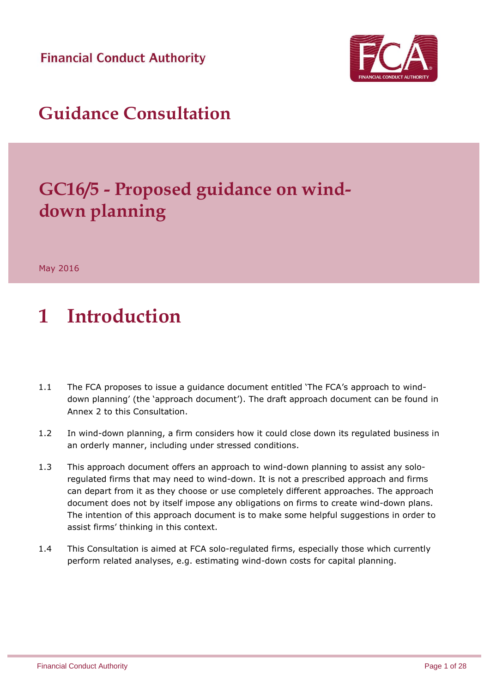**Financial Conduct Authority** 



## **Guidance Consultation**

# **GC16/5 - Proposed guidance on winddown planning**

May 2016

# **1 Introduction**

- 1.1 The FCA proposes to issue a guidance document entitled 'The FCA's approach to winddown planning' (the 'approach document'). The draft approach document can be found in Annex 2 to this Consultation.
- 1.2 In wind-down planning, a firm considers how it could close down its regulated business in an orderly manner, including under stressed conditions.
- 1.3 This approach document offers an approach to wind-down planning to assist any soloregulated firms that may need to wind-down. It is not a prescribed approach and firms can depart from it as they choose or use completely different approaches. The approach document does not by itself impose any obligations on firms to create wind-down plans. The intention of this approach document is to make some helpful suggestions in order to assist firms' thinking in this context.
- 1.4 This Consultation is aimed at FCA solo-regulated firms, especially those which currently perform related analyses, e.g. estimating wind-down costs for capital planning.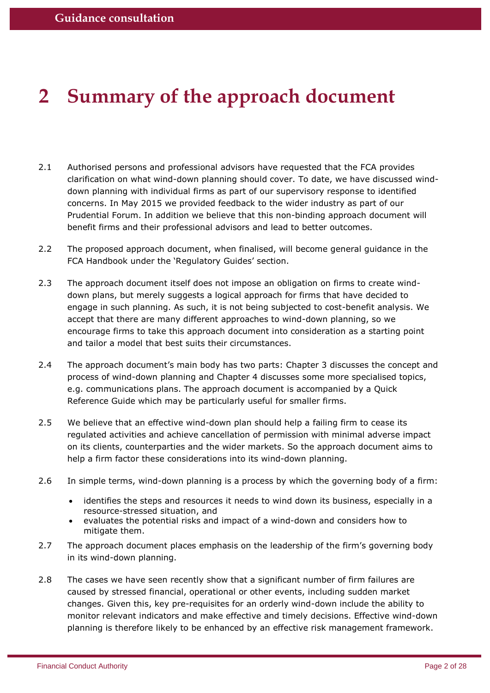## **2 Summary of the approach document**

- 2.1 Authorised persons and professional advisors have requested that the FCA provides clarification on what wind-down planning should cover. To date, we have discussed winddown planning with individual firms as part of our supervisory response to identified concerns. In May 2015 we provided feedback to the wider industry as part of our Prudential Forum. In addition we believe that this non-binding approach document will benefit firms and their professional advisors and lead to better outcomes.
- 2.2 The proposed approach document, when finalised, will become general guidance in the FCA Handbook under the 'Regulatory Guides' section.
- 2.3 The approach document itself does not impose an obligation on firms to create winddown plans, but merely suggests a logical approach for firms that have decided to engage in such planning. As such, it is not being subjected to cost-benefit analysis. We accept that there are many different approaches to wind-down planning, so we encourage firms to take this approach document into consideration as a starting point and tailor a model that best suits their circumstances.
- 2.4 The approach document's main body has two parts: Chapter 3 discusses the concept and process of wind-down planning and Chapter 4 discusses some more specialised topics, e.g. communications plans. The approach document is accompanied by a Quick Reference Guide which may be particularly useful for smaller firms.
- 2.5 We believe that an effective wind-down plan should help a failing firm to cease its regulated activities and achieve cancellation of permission with minimal adverse impact on its clients, counterparties and the wider markets. So the approach document aims to help a firm factor these considerations into its wind-down planning.
- 2.6 In simple terms, wind-down planning is a process by which the governing body of a firm:
	- identifies the steps and resources it needs to wind down its business, especially in a resource-stressed situation, and
	- evaluates the potential risks and impact of a wind-down and considers how to mitigate them.
- 2.7 The approach document places emphasis on the leadership of the firm's governing body in its wind-down planning.
- 2.8 The cases we have seen recently show that a significant number of firm failures are caused by stressed financial, operational or other events, including sudden market changes. Given this, key pre-requisites for an orderly wind-down include the ability to monitor relevant indicators and make effective and timely decisions. Effective wind-down planning is therefore likely to be enhanced by an effective risk management framework.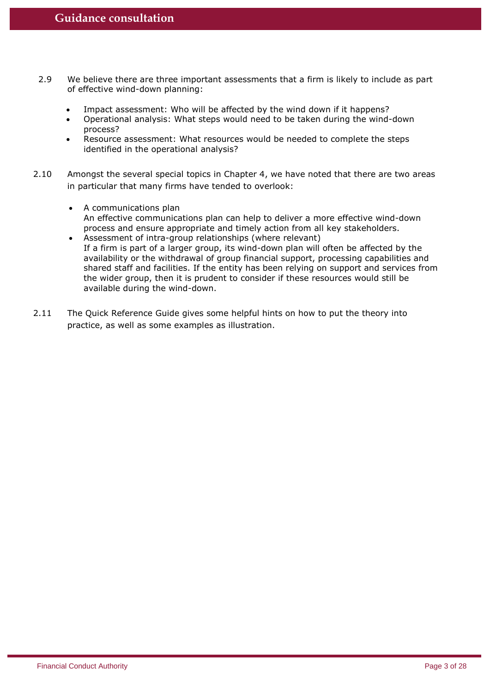- 2.9 We believe there are three important assessments that a firm is likely to include as part of effective wind-down planning:
	- Impact assessment: Who will be affected by the wind down if it happens?
	- Operational analysis: What steps would need to be taken during the wind-down process?
	- Resource assessment: What resources would be needed to complete the steps identified in the operational analysis?
- 2.10 Amongst the several special topics in Chapter 4, we have noted that there are two areas in particular that many firms have tended to overlook:
	- A communications plan An effective communications plan can help to deliver a more effective wind-down process and ensure appropriate and timely action from all key stakeholders.
	- Assessment of intra-group relationships (where relevant) If a firm is part of a larger group, its wind-down plan will often be affected by the availability or the withdrawal of group financial support, processing capabilities and shared staff and facilities. If the entity has been relying on support and services from the wider group, then it is prudent to consider if these resources would still be available during the wind-down.
- 2.11 The Quick Reference Guide gives some helpful hints on how to put the theory into practice, as well as some examples as illustration.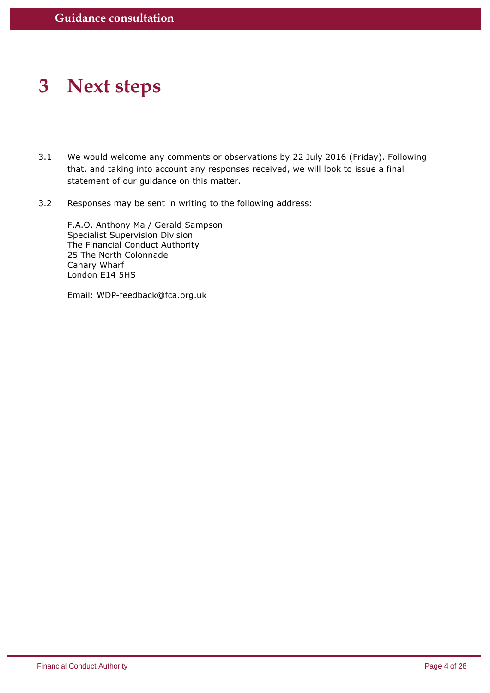## **3 Next steps**

- 3.1 We would welcome any comments or observations by 22 July 2016 (Friday). Following that, and taking into account any responses received, we will look to issue a final statement of our guidance on this matter.
- 3.2 Responses may be sent in writing to the following address:

F.A.O. Anthony Ma / Gerald Sampson Specialist Supervision Division The Financial Conduct Authority 25 The North Colonnade Canary Wharf London E14 5HS

Email: WDP-feedback@fca.org.uk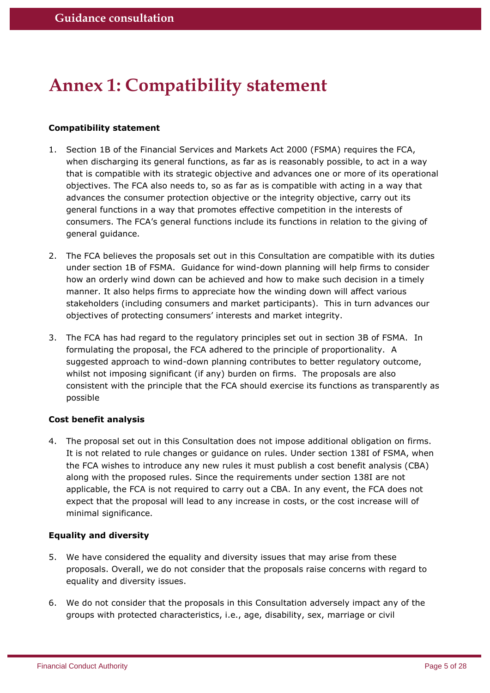## **Annex 1: Compatibility statement**

## **Compatibility statement**

- 1. Section 1B of the Financial Services and Markets Act 2000 (FSMA) requires the FCA, when discharging its general functions, as far as is reasonably possible, to act in a way that is compatible with its strategic objective and advances one or more of its operational objectives. The FCA also needs to, so as far as is compatible with acting in a way that advances the consumer protection objective or the integrity objective, carry out its general functions in a way that promotes effective competition in the interests of consumers. The FCA's general functions include its functions in relation to the giving of general guidance.
- 2. The FCA believes the proposals set out in this Consultation are compatible with its duties under section 1B of FSMA. Guidance for wind-down planning will help firms to consider how an orderly wind down can be achieved and how to make such decision in a timely manner. It also helps firms to appreciate how the winding down will affect various stakeholders (including consumers and market participants). This in turn advances our objectives of protecting consumers' interests and market integrity.
- 3. The FCA has had regard to the regulatory principles set out in section 3B of FSMA. In formulating the proposal, the FCA adhered to the principle of proportionality. A suggested approach to wind-down planning contributes to better regulatory outcome, whilst not imposing significant (if any) burden on firms. The proposals are also consistent with the principle that the FCA should exercise its functions as transparently as possible

## **Cost benefit analysis**

4. The proposal set out in this Consultation does not impose additional obligation on firms. It is not related to rule changes or guidance on rules. Under section 138I of FSMA, when the FCA wishes to introduce any new rules it must publish a cost benefit analysis (CBA) along with the proposed rules. Since the requirements under section 138I are not applicable, the FCA is not required to carry out a CBA. In any event, the FCA does not expect that the proposal will lead to any increase in costs, or the cost increase will of minimal significance.

## **Equality and diversity**

- 5. We have considered the equality and diversity issues that may arise from these proposals. Overall, we do not consider that the proposals raise concerns with regard to equality and diversity issues.
- 6. We do not consider that the proposals in this Consultation adversely impact any of the groups with protected characteristics, i.e., age, disability, sex, marriage or civil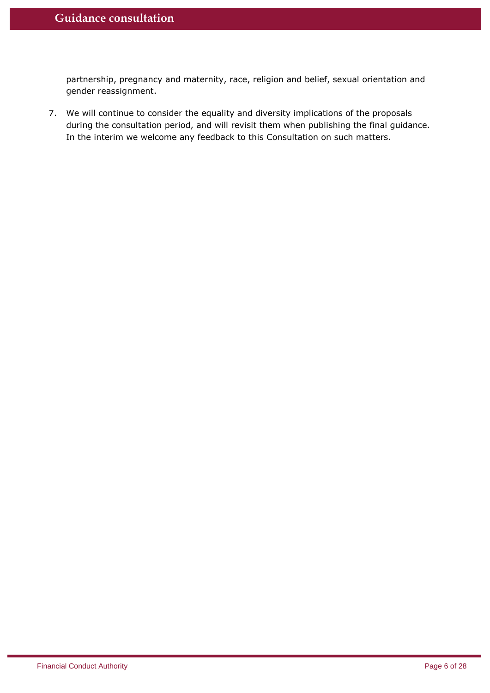partnership, pregnancy and maternity, race, religion and belief, sexual orientation and gender reassignment.

7. We will continue to consider the equality and diversity implications of the proposals during the consultation period, and will revisit them when publishing the final guidance. In the interim we welcome any feedback to this Consultation on such matters.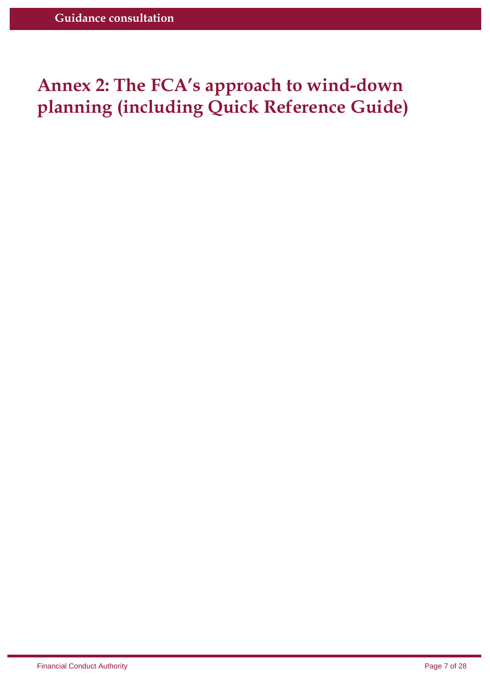## **Annex 2: The FCA's approach to wind-down planning (including Quick Reference Guide)**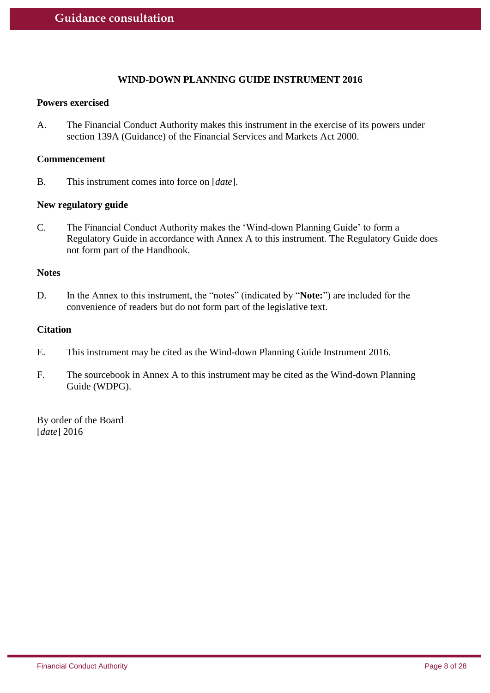## **WIND-DOWN PLANNING GUIDE INSTRUMENT 2016**

#### **Powers exercised**

A. The Financial Conduct Authority makes this instrument in the exercise of its powers under section 139A (Guidance) of the Financial Services and Markets Act 2000.

## **Commencement**

B. This instrument comes into force on [*date*].

### **New regulatory guide**

C. The Financial Conduct Authority makes the 'Wind-down Planning Guide' to form a Regulatory Guide in accordance with Annex A to this instrument. The Regulatory Guide does not form part of the Handbook.

### **Notes**

D. In the Annex to this instrument, the "notes" (indicated by "**Note:**") are included for the convenience of readers but do not form part of the legislative text.

## **Citation**

- E. This instrument may be cited as the Wind-down Planning Guide Instrument 2016.
- F. The sourcebook in Annex A to this instrument may be cited as the Wind-down Planning Guide (WDPG).

By order of the Board [*date*] 2016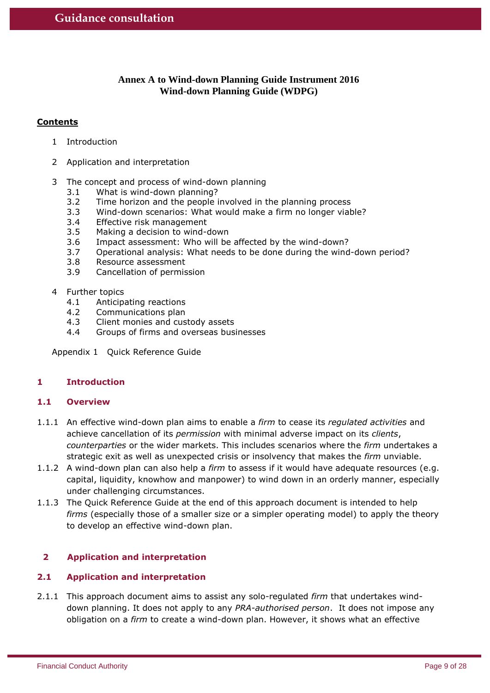## **Annex A to Wind-down Planning Guide Instrument 2016 Wind-down Planning Guide (WDPG)**

## **Contents**

- 1 Introduction
- 2 Application and interpretation
- 3 The concept and process of wind-down planning
	- 3.1 What is wind-down planning?
	- 3.2 Time horizon and the people involved in the planning process
	- 3.3 Wind-down scenarios: What would make a firm no longer viable?
	- 3.4 Effective risk management
	- 3.5 Making a decision to wind-down
	- 3.6 Impact assessment: Who will be affected by the wind-down?
	- 3.7 Operational analysis: What needs to be done during the wind-down period?
	- 3.8 Resource assessment
	- 3.9 Cancellation of permission
- 4 Further topics
	- 4.1 Anticipating reactions
	- 4.2 Communications plan
	- 4.3 Client monies and custody assets
	- 4.4 Groups of firms and overseas businesses

Appendix 1 Quick Reference Guide

## **1 Introduction**

## **1.1 Overview**

- 1.1.1 An effective wind-down plan aims to enable a *firm* to cease its *regulated activities* and achieve cancellation of its *permission* with minimal adverse impact on its *clients*, *counterparties* or the wider markets. This includes scenarios where the *firm* undertakes a strategic exit as well as unexpected crisis or insolvency that makes the *firm* unviable.
- 1.1.2 A wind-down plan can also help a *firm* to assess if it would have adequate resources (e.g. capital, liquidity, knowhow and manpower) to wind down in an orderly manner, especially under challenging circumstances.
- 1.1.3 The Quick Reference Guide at the end of this approach document is intended to help *firms* (especially those of a smaller size or a simpler operating model) to apply the theory to develop an effective wind-down plan.

## **2 Application and interpretation**

## **2.1 Application and interpretation**

2.1.1 This approach document aims to assist any solo-regulated *firm* that undertakes winddown planning. It does not apply to any *PRA-authorised person*. It does not impose any obligation on a *firm* to create a wind-down plan. However, it shows what an effective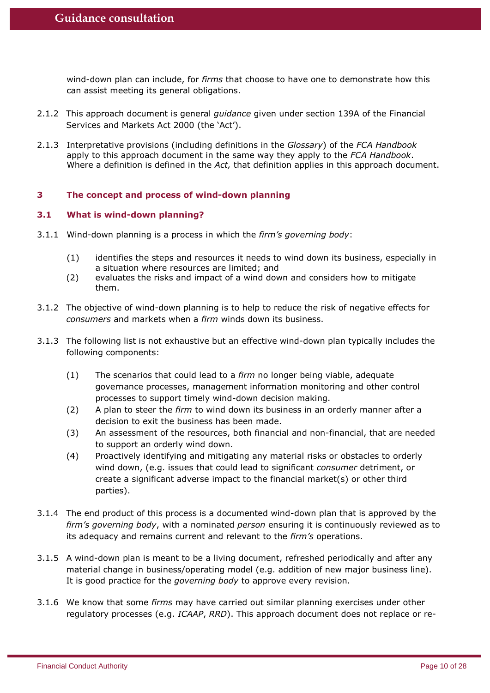wind-down plan can include, for *firms* that choose to have one to demonstrate how this can assist meeting its general obligations.

- 2.1.2 This approach document is general *guidance* given under section 139A of the Financial Services and Markets Act 2000 (the 'Act').
- 2.1.3 Interpretative provisions (including definitions in the *Glossary*) of the *FCA Handbook* apply to this approach document in the same way they apply to the *FCA Handbook*. Where a definition is defined in the *Act,* that definition applies in this approach document.

## **3 The concept and process of wind-down planning**

## **3.1 What is wind-down planning?**

- 3.1.1 Wind-down planning is a process in which the *firm's governing body*:
	- (1) identifies the steps and resources it needs to wind down its business, especially in a situation where resources are limited; and
	- (2) evaluates the risks and impact of a wind down and considers how to mitigate them.
- 3.1.2 The objective of wind-down planning is to help to reduce the risk of negative effects for *consumers* and markets when a *firm* winds down its business.
- 3.1.3 The following list is not exhaustive but an effective wind-down plan typically includes the following components:
	- (1) The scenarios that could lead to a *firm* no longer being viable, adequate governance processes, management information monitoring and other control processes to support timely wind-down decision making.
	- (2) A plan to steer the *firm* to wind down its business in an orderly manner after a decision to exit the business has been made.
	- (3) An assessment of the resources, both financial and non-financial, that are needed to support an orderly wind down.
	- (4) Proactively identifying and mitigating any material risks or obstacles to orderly wind down, (e.g. issues that could lead to significant *consumer* detriment, or create a significant adverse impact to the financial market(s) or other third parties).
- 3.1.4 The end product of this process is a documented wind-down plan that is approved by the *firm's governing body*, with a nominated *person* ensuring it is continuously reviewed as to its adequacy and remains current and relevant to the *firm's* operations.
- 3.1.5 A wind-down plan is meant to be a living document, refreshed periodically and after any material change in business/operating model (e.g. addition of new major business line). It is good practice for the *governing body* to approve every revision.
- 3.1.6 We know that some *firms* may have carried out similar planning exercises under other regulatory processes (e.g. *ICAAP*, *RRD*). This approach document does not replace or re-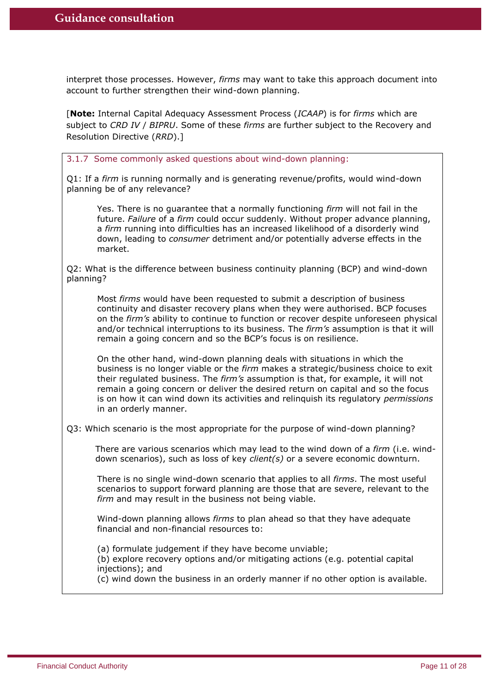interpret those processes. However, *firms* may want to take this approach document into account to further strengthen their wind-down planning.

[**Note:** Internal Capital Adequacy Assessment Process (*ICAAP*) is for *firms* which are subject to *CRD IV* / *BIPRU*. Some of these *firms* are further subject to the Recovery and Resolution Directive (*RRD*).]

3.1.7 Some commonly asked questions about wind-down planning:

Q1: If a *firm* is running normally and is generating revenue/profits, would wind-down planning be of any relevance?

Yes. There is no guarantee that a normally functioning *firm* will not fail in the future. *Failure* of a *firm* could occur suddenly. Without proper advance planning, a *firm* running into difficulties has an increased likelihood of a disorderly wind down, leading to *consumer* detriment and/or potentially adverse effects in the market.

Q2: What is the difference between business continuity planning (BCP) and wind-down planning?

Most *firms* would have been requested to submit a description of business continuity and disaster recovery plans when they were authorised. BCP focuses on the *firm's* ability to continue to function or recover despite unforeseen physical and/or technical interruptions to its business. The *firm's* assumption is that it will remain a going concern and so the BCP's focus is on resilience.

On the other hand, wind-down planning deals with situations in which the business is no longer viable or the *firm* makes a strategic/business choice to exit their regulated business. The *firm's* assumption is that, for example, it will not remain a going concern or deliver the desired return on capital and so the focus is on how it can wind down its activities and relinquish its regulatory *permissions*  in an orderly manner.

Q3: Which scenario is the most appropriate for the purpose of wind-down planning?

There are various scenarios which may lead to the wind down of a *firm* (i.e. winddown scenarios), such as loss of key *client(s)* or a severe economic downturn.

There is no single wind-down scenario that applies to all *firms*. The most useful scenarios to support forward planning are those that are severe, relevant to the *firm* and may result in the business not being viable.

Wind-down planning allows *firms* to plan ahead so that they have adequate financial and non-financial resources to:

(a) formulate judgement if they have become unviable;

(b) explore recovery options and/or mitigating actions (e.g. potential capital injections); and

(c) wind down the business in an orderly manner if no other option is available.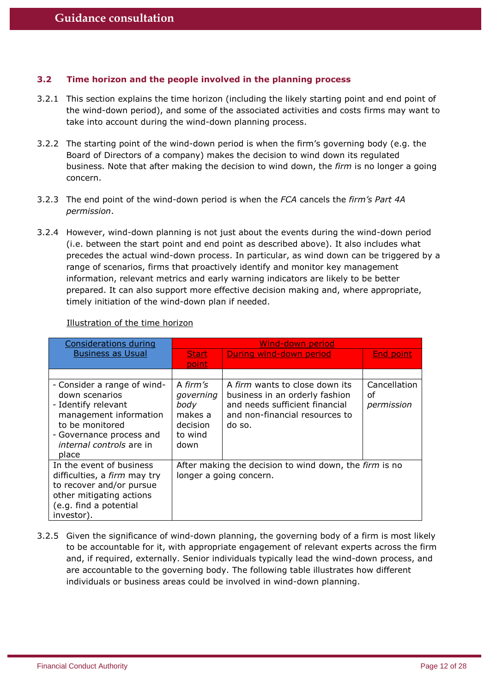## **3.2 Time horizon and the people involved in the planning process**

- 3.2.1 This section explains the time horizon (including the likely starting point and end point of the wind-down period), and some of the associated activities and costs firms may want to take into account during the wind-down planning process.
- 3.2.2 The starting point of the wind-down period is when the firm's governing body (e.g. the Board of Directors of a company) makes the decision to wind down its regulated business. Note that after making the decision to wind down, the *firm* is no longer a going concern.
- 3.2.3 The end point of the wind-down period is when the *FCA* cancels the *firm's Part 4A permission*.
- 3.2.4 However, wind-down planning is not just about the events during the wind-down period (i.e. between the start point and end point as described above). It also includes what precedes the actual wind-down process. In particular, as wind down can be triggered by a range of scenarios, firms that proactively identify and monitor key management information, relevant metrics and early warning indicators are likely to be better prepared. It can also support more effective decision making and, where appropriate, timely initiation of the wind-down plan if needed.

| <b>Considerations during</b>                                                                                                                                                              |                                                                         | Wind-down period                                                                                                                               |                                  |
|-------------------------------------------------------------------------------------------------------------------------------------------------------------------------------------------|-------------------------------------------------------------------------|------------------------------------------------------------------------------------------------------------------------------------------------|----------------------------------|
| <b>Business as Usual</b>                                                                                                                                                                  | <b>Start</b>                                                            | During wind-down period                                                                                                                        | End point                        |
|                                                                                                                                                                                           | point                                                                   |                                                                                                                                                |                                  |
|                                                                                                                                                                                           |                                                                         |                                                                                                                                                |                                  |
| - Consider a range of wind-<br>down scenarios<br>- Identify relevant<br>management information<br>to be monitored<br>- Governance process and<br><i>internal controls</i> are in<br>place | A firm's<br>governing<br>body<br>makes a<br>decision<br>to wind<br>down | A firm wants to close down its<br>business in an orderly fashion<br>and needs sufficient financial<br>and non-financial resources to<br>do so. | Cancellation<br>οf<br>permission |
| In the event of business<br>difficulties, a firm may try<br>to recover and/or pursue<br>other mitigating actions<br>(e.g. find a potential<br>investor).                                  |                                                                         | After making the decision to wind down, the firm is no<br>longer a going concern.                                                              |                                  |

## Illustration of the time horizon

3.2.5 Given the significance of wind-down planning, the governing body of a firm is most likely to be accountable for it, with appropriate engagement of relevant experts across the firm and, if required, externally. Senior individuals typically lead the wind-down process, and are accountable to the governing body. The following table illustrates how different individuals or business areas could be involved in wind-down planning.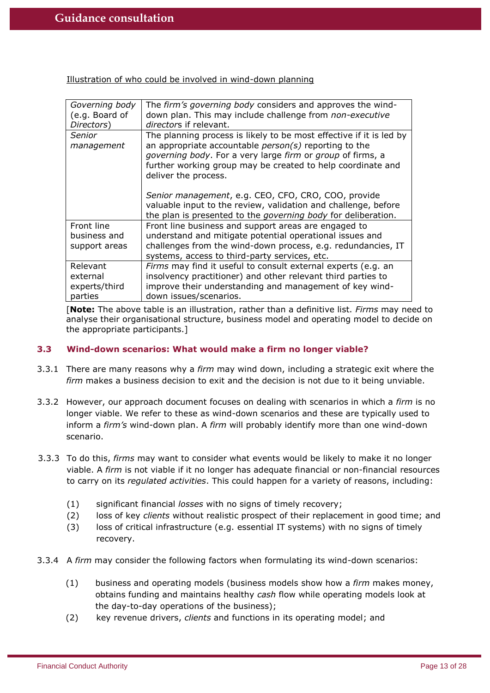Illustration of who could be involved in wind-down planning

| Governing body<br>(e.g. Board of<br>Directors) | The firm's governing body considers and approves the wind-<br>down plan. This may include challenge from non-executive<br><i>directors</i> if relevant.                                                                                                                             |
|------------------------------------------------|-------------------------------------------------------------------------------------------------------------------------------------------------------------------------------------------------------------------------------------------------------------------------------------|
| <b>Senior</b><br>management                    | The planning process is likely to be most effective if it is led by<br>an appropriate accountable $person(s)$ reporting to the<br>governing body. For a very large firm or group of firms, a<br>further working group may be created to help coordinate and<br>deliver the process. |
|                                                | Senior management, e.g. CEO, CFO, CRO, COO, provide<br>valuable input to the review, validation and challenge, before<br>the plan is presented to the <i>governing body</i> for deliberation.                                                                                       |
| Front line                                     | Front line business and support areas are engaged to                                                                                                                                                                                                                                |
| business and                                   | understand and mitigate potential operational issues and                                                                                                                                                                                                                            |
| support areas                                  | challenges from the wind-down process, e.g. redundancies, IT<br>systems, access to third-party services, etc.                                                                                                                                                                       |
| Relevant                                       | Firms may find it useful to consult external experts (e.g. an                                                                                                                                                                                                                       |
| external                                       | insolvency practitioner) and other relevant third parties to                                                                                                                                                                                                                        |
| experts/third                                  | improve their understanding and management of key wind-                                                                                                                                                                                                                             |
| parties                                        | down issues/scenarios.                                                                                                                                                                                                                                                              |

[**Note:** The above table is an illustration, rather than a definitive list. *Firms* may need to analyse their organisational structure, business model and operating model to decide on the appropriate participants.]

## **3.3 Wind-down scenarios: What would make a firm no longer viable?**

- 3.3.1 There are many reasons why a *firm* may wind down, including a strategic exit where the *firm* makes a business decision to exit and the decision is not due to it being unviable.
- 3.3.2 However, our approach document focuses on dealing with scenarios in which a *firm* is no longer viable. We refer to these as wind-down scenarios and these are typically used to inform a *firm's* wind-down plan. A *firm* will probably identify more than one wind-down scenario.
- 3.3.3 To do this, *firms* may want to consider what events would be likely to make it no longer viable. A *firm* is not viable if it no longer has adequate financial or non-financial resources to carry on its *regulated activities*. This could happen for a variety of reasons, including:
	- (1) significant financial *losses* with no signs of timely recovery;
	- (2) loss of key *clients* without realistic prospect of their replacement in good time; and
	- (3) loss of critical infrastructure (e.g. essential IT systems) with no signs of timely recovery.
- 3.3.4 A *firm* may consider the following factors when formulating its wind-down scenarios:
	- (1) business and operating models (business models show how a *firm* makes money, obtains funding and maintains healthy *cash* flow while operating models look at the day-to-day operations of the business);
	- (2) key revenue drivers, *clients* and functions in its operating model; and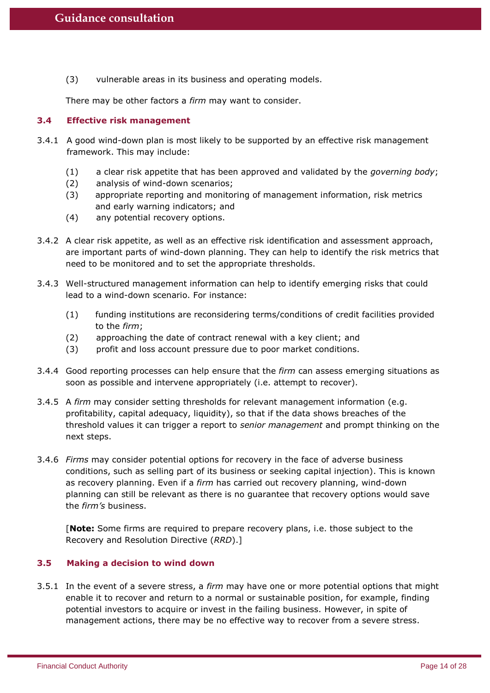(3) vulnerable areas in its business and operating models.

There may be other factors a *firm* may want to consider.

## **3.4 Effective risk management**

- 3.4.1 A good wind-down plan is most likely to be supported by an effective risk management framework. This may include:
	- (1) a clear risk appetite that has been approved and validated by the *governing body*;
	- (2) analysis of wind-down scenarios;
	- (3) appropriate reporting and monitoring of management information, risk metrics and early warning indicators; and
	- (4) any potential recovery options.
- 3.4.2 A clear risk appetite, as well as an effective risk identification and assessment approach, are important parts of wind-down planning. They can help to identify the risk metrics that need to be monitored and to set the appropriate thresholds.
- 3.4.3 Well-structured management information can help to identify emerging risks that could lead to a wind-down scenario. For instance:
	- (1) funding institutions are reconsidering terms/conditions of credit facilities provided to the *firm*;
	- (2) approaching the date of contract renewal with a key client; and
	- (3) profit and loss account pressure due to poor market conditions.
- 3.4.4 Good reporting processes can help ensure that the *firm* can assess emerging situations as soon as possible and intervene appropriately (i.e. attempt to recover).
- 3.4.5 A *firm* may consider setting thresholds for relevant management information (e.g. profitability, capital adequacy, liquidity), so that if the data shows breaches of the threshold values it can trigger a report to *senior management* and prompt thinking on the next steps.
- 3.4.6 *Firms* may consider potential options for recovery in the face of adverse business conditions, such as selling part of its business or seeking capital injection). This is known as recovery planning. Even if a *firm* has carried out recovery planning, wind-down planning can still be relevant as there is no guarantee that recovery options would save the *firm's* business.

[**Note:** Some firms are required to prepare recovery plans, i.e. those subject to the Recovery and Resolution Directive (*RRD*).]

## **3.5 Making a decision to wind down**

3.5.1 In the event of a severe stress, a *firm* may have one or more potential options that might enable it to recover and return to a normal or sustainable position, for example, finding potential investors to acquire or invest in the failing business. However, in spite of management actions, there may be no effective way to recover from a severe stress.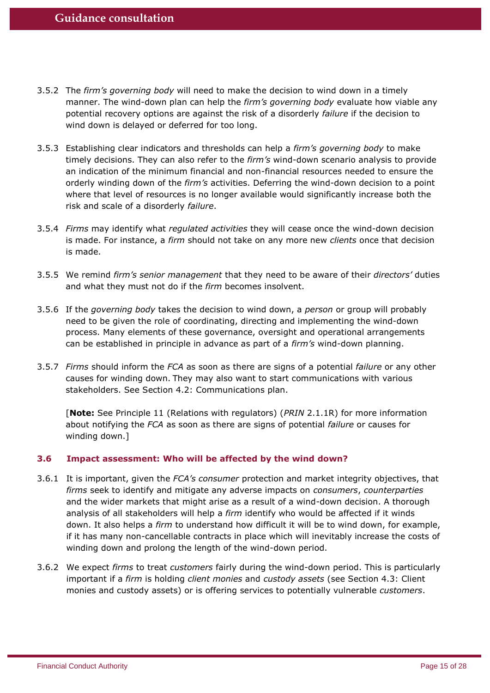- 3.5.2 The *firm's governing body* will need to make the decision to wind down in a timely manner. The wind-down plan can help the *firm's governing body* evaluate how viable any potential recovery options are against the risk of a disorderly *failure* if the decision to wind down is delayed or deferred for too long.
- 3.5.3 Establishing clear indicators and thresholds can help a *firm's governing body* to make timely decisions. They can also refer to the *firm's* wind-down scenario analysis to provide an indication of the minimum financial and non-financial resources needed to ensure the orderly winding down of the *firm's* activities. Deferring the wind-down decision to a point where that level of resources is no longer available would significantly increase both the risk and scale of a disorderly *failure*.
- 3.5.4 *Firms* may identify what *regulated activities* they will cease once the wind-down decision is made. For instance, a *firm* should not take on any more new *clients* once that decision is made.
- 3.5.5 We remind *firm's senior management* that they need to be aware of their *directors'* duties and what they must not do if the *firm* becomes insolvent.
- 3.5.6 If the *governing body* takes the decision to wind down, a *person* or group will probably need to be given the role of coordinating, directing and implementing the wind-down process. Many elements of these governance, oversight and operational arrangements can be established in principle in advance as part of a *firm's* wind-down planning.
- 3.5.7 *Firms* should inform the *FCA* as soon as there are signs of a potential *failure* or any other causes for winding down. They may also want to start communications with various stakeholders. See Section 4.2: Communications plan.

[**Note:** See Principle 11 (Relations with regulators) (*PRIN* 2.1.1R) for more information about notifying the *FCA* as soon as there are signs of potential *failure* or causes for winding down.]

## **3.6 Impact assessment: Who will be affected by the wind down?**

- 3.6.1 It is important, given the *FCA's consumer* protection and market integrity objectives, that *firms* seek to identify and mitigate any adverse impacts on *consumers*, *counterparties* and the wider markets that might arise as a result of a wind-down decision. A thorough analysis of all stakeholders will help a *firm* identify who would be affected if it winds down. It also helps a *firm* to understand how difficult it will be to wind down, for example, if it has many non-cancellable contracts in place which will inevitably increase the costs of winding down and prolong the length of the wind-down period.
- 3.6.2 We expect *firms* to treat *customers* fairly during the wind-down period. This is particularly important if a *firm* is holding *client monies* and *custody assets* (see Section 4.3: Client monies and custody assets) or is offering services to potentially vulnerable *customers*.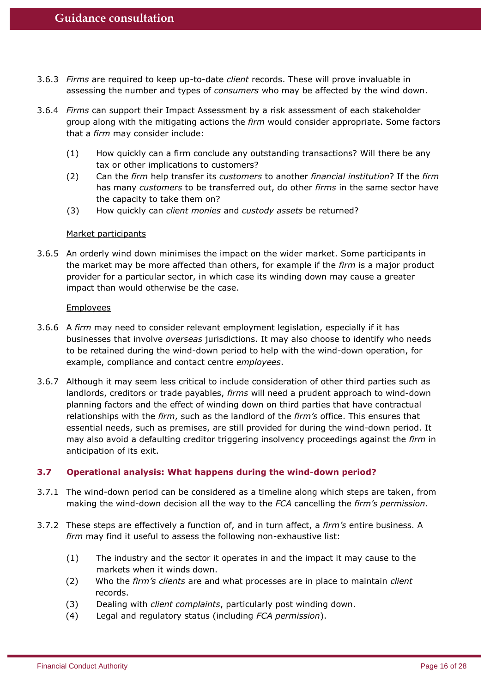- 3.6.3 *Firms* are required to keep up-to-date *client* records. These will prove invaluable in assessing the number and types of *consumers* who may be affected by the wind down.
- 3.6.4 *Firms* can support their Impact Assessment by a risk assessment of each stakeholder group along with the mitigating actions the *firm* would consider appropriate. Some factors that a *firm* may consider include:
	- (1) How quickly can a firm conclude any outstanding transactions? Will there be any tax or other implications to customers?
	- (2) Can the *firm* help transfer its *customers* to another *financial institution*? If the *firm* has many *customers* to be transferred out, do other *firms* in the same sector have the capacity to take them on?
	- (3) How quickly can *client monies* and *custody assets* be returned?

#### Market participants

3.6.5 An orderly wind down minimises the impact on the wider market. Some participants in the market may be more affected than others, for example if the *firm* is a major product provider for a particular sector, in which case its winding down may cause a greater impact than would otherwise be the case.

#### Employees

- 3.6.6 A *firm* may need to consider relevant employment legislation, especially if it has businesses that involve *overseas* jurisdictions. It may also choose to identify who needs to be retained during the wind-down period to help with the wind-down operation, for example, compliance and contact centre *employees*.
- 3.6.7 Although it may seem less critical to include consideration of other third parties such as landlords, creditors or trade payables, *firms* will need a prudent approach to wind-down planning factors and the effect of winding down on third parties that have contractual relationships with the *firm*, such as the landlord of the *firm's* office. This ensures that essential needs, such as premises, are still provided for during the wind-down period. It may also avoid a defaulting creditor triggering insolvency proceedings against the *firm* in anticipation of its exit.

## **3.7 Operational analysis: What happens during the wind-down period?**

- 3.7.1 The wind-down period can be considered as a timeline along which steps are taken, from making the wind-down decision all the way to the *FCA* cancelling the *firm's permission*.
- 3.7.2 These steps are effectively a function of, and in turn affect, a *firm's* entire business. A *firm* may find it useful to assess the following non-exhaustive list:
	- (1) The industry and the sector it operates in and the impact it may cause to the markets when it winds down.
	- (2) Who the *firm's clients* are and what processes are in place to maintain *client* records.
	- (3) Dealing with *client complaints*, particularly post winding down.
	- (4) Legal and regulatory status (including *FCA permission*).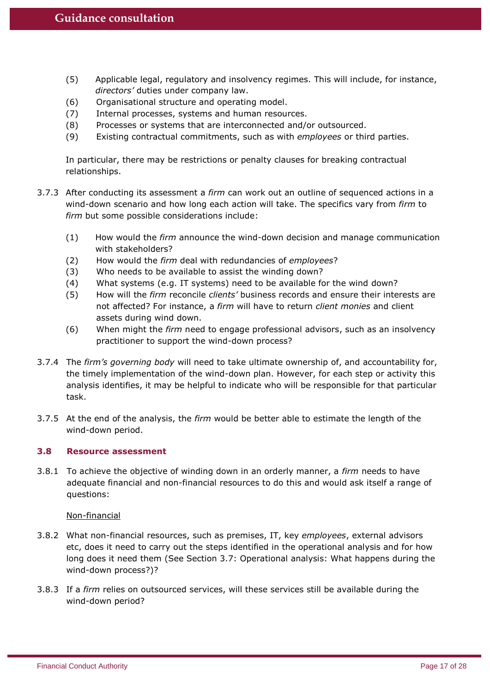- (5) Applicable legal, regulatory and insolvency regimes. This will include, for instance, *directors'* duties under company law.
- (6) Organisational structure and operating model.
- (7) Internal processes, systems and human resources.
- (8) Processes or systems that are interconnected and/or outsourced.
- (9) Existing contractual commitments, such as with *employees* or third parties.

In particular, there may be restrictions or penalty clauses for breaking contractual relationships.

- 3.7.3 After conducting its assessment a *firm* can work out an outline of sequenced actions in a wind-down scenario and how long each action will take. The specifics vary from *firm* to *firm* but some possible considerations include:
	- (1) How would the *firm* announce the wind-down decision and manage communication with stakeholders?
	- (2) How would the *firm* deal with redundancies of *employees*?
	- (3) Who needs to be available to assist the winding down?
	- (4) What systems (e.g. IT systems) need to be available for the wind down?
	- (5) How will the *firm* reconcile *clients'* business records and ensure their interests are not affected? For instance, a *firm* will have to return *client monies* and client assets during wind down.
	- (6) When might the *firm* need to engage professional advisors, such as an insolvency practitioner to support the wind-down process?
- 3.7.4 The *firm's governing body* will need to take ultimate ownership of, and accountability for, the timely implementation of the wind-down plan. However, for each step or activity this analysis identifies, it may be helpful to indicate who will be responsible for that particular task.
- 3.7.5 At the end of the analysis, the *firm* would be better able to estimate the length of the wind-down period.

## **3.8 Resource assessment**

3.8.1 To achieve the objective of winding down in an orderly manner, a *firm* needs to have adequate financial and non-financial resources to do this and would ask itself a range of questions:

Non-financial

- 3.8.2 What non-financial resources, such as premises, IT, key *employees*, external advisors etc, does it need to carry out the steps identified in the operational analysis and for how long does it need them (See Section 3.7: Operational analysis: What happens during the wind-down process?)?
- 3.8.3 If a *firm* relies on outsourced services, will these services still be available during the wind-down period?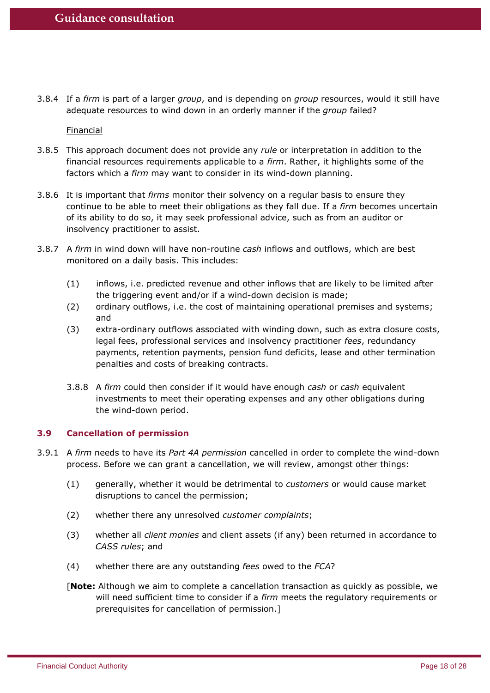3.8.4 If a *firm* is part of a larger *group*, and is depending on *group* resources, would it still have adequate resources to wind down in an orderly manner if the *group* failed?

**Financial** 

- 3.8.5 This approach document does not provide any *rule* or interpretation in addition to the financial resources requirements applicable to a *firm*. Rather, it highlights some of the factors which a *firm* may want to consider in its wind-down planning.
- 3.8.6 It is important that *firms* monitor their solvency on a regular basis to ensure they continue to be able to meet their obligations as they fall due. If a *firm* becomes uncertain of its ability to do so, it may seek professional advice, such as from an auditor or insolvency practitioner to assist.
- 3.8.7 A *firm* in wind down will have non-routine *cash* inflows and outflows, which are best monitored on a daily basis. This includes:
	- (1) inflows, i.e. predicted revenue and other inflows that are likely to be limited after the triggering event and/or if a wind-down decision is made;
	- (2) ordinary outflows, i.e. the cost of maintaining operational premises and systems; and
	- (3) extra-ordinary outflows associated with winding down, such as extra closure costs, legal fees, professional services and insolvency practitioner *fees*, redundancy payments, retention payments, pension fund deficits, lease and other termination penalties and costs of breaking contracts.
	- 3.8.8 A *firm* could then consider if it would have enough *cash* or *cash* equivalent investments to meet their operating expenses and any other obligations during the wind-down period.

## **3.9 Cancellation of permission**

- 3.9.1 A *firm* needs to have its *Part 4A permission* cancelled in order to complete the wind-down process. Before we can grant a cancellation, we will review, amongst other things:
	- (1) generally, whether it would be detrimental to *customers* or would cause market disruptions to cancel the permission;
	- (2) whether there any unresolved *customer complaints*;
	- (3) whether all *client monies* and client assets (if any) been returned in accordance to *CASS rules*; and
	- (4) whether there are any outstanding *fees* owed to the *FCA*?
	- [**Note:** Although we aim to complete a cancellation transaction as quickly as possible, we will need sufficient time to consider if a *firm* meets the regulatory requirements or prerequisites for cancellation of permission.]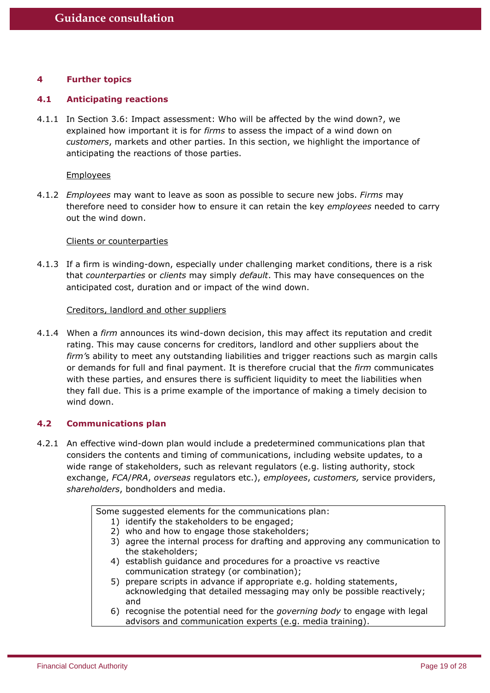## **4 Further topics**

#### **4.1 Anticipating reactions**

4.1.1 In Section 3.6: Impact assessment: Who will be affected by the wind down?, we explained how important it is for *firms* to assess the impact of a wind down on *customers*, markets and other parties. In this section, we highlight the importance of anticipating the reactions of those parties.

#### **Employees**

4.1.2 *Employees* may want to leave as soon as possible to secure new jobs. *Firms* may therefore need to consider how to ensure it can retain the key *employees* needed to carry out the wind down.

#### Clients or counterparties

4.1.3 If a firm is winding-down, especially under challenging market conditions, there is a risk that *counterparties* or *clients* may simply *default*. This may have consequences on the anticipated cost, duration and or impact of the wind down.

#### Creditors, landlord and other suppliers

4.1.4 When a *firm* announces its wind-down decision, this may affect its reputation and credit rating. This may cause concerns for creditors, landlord and other suppliers about the *firm'*s ability to meet any outstanding liabilities and trigger reactions such as margin calls or demands for full and final payment. It is therefore crucial that the *firm* communicates with these parties, and ensures there is sufficient liquidity to meet the liabilities when they fall due. This is a prime example of the importance of making a timely decision to wind down.

## **4.2 Communications plan**

4.2.1 An effective wind-down plan would include a predetermined communications plan that considers the contents and timing of communications, including website updates, to a wide range of stakeholders, such as relevant regulators (e.g. listing authority, stock exchange, *FCA*/*PRA*, *overseas* regulators etc.), *employees*, *customers,* service providers, *shareholders*, bondholders and media.

|    | Some suggested elements for the communications plan:                          |
|----|-------------------------------------------------------------------------------|
|    | 1) identify the stakeholders to be engaged;                                   |
| 2) | who and how to engage those stakeholders;                                     |
|    | 3) agree the internal process for drafting and approving any communication to |
|    | the stakeholders;                                                             |
|    | 4) establish guidance and procedures for a proactive vs reactive              |
|    | communication strategy (or combination);                                      |
|    | 5) prepare scripts in advance if appropriate e.g. holding statements,         |
|    | acknowledging that detailed messaging may only be possible reactively;        |
|    | and                                                                           |
|    | 6) recognise the potential need for the governing body to engage with legal   |
|    | advisors and communication experts (e.g. media training).                     |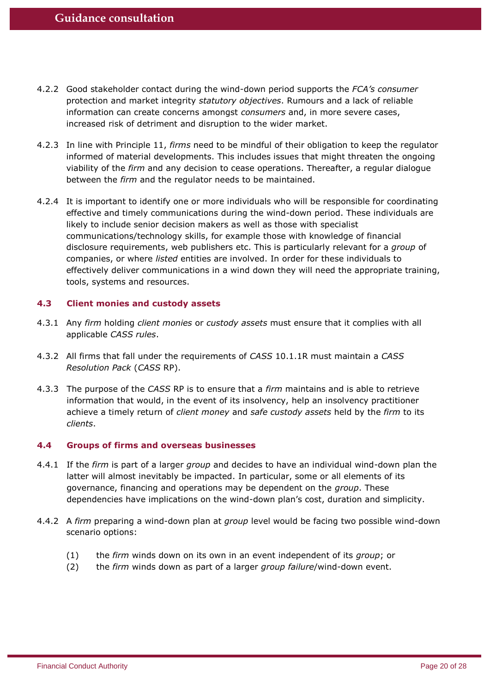- 4.2.2 Good stakeholder contact during the wind-down period supports the *FCA's consumer* protection and market integrity *statutory objectives*. Rumours and a lack of reliable information can create concerns amongst *consumers* and, in more severe cases, increased risk of detriment and disruption to the wider market.
- 4.2.3 In line with Principle 11, *firms* need to be mindful of their obligation to keep the regulator informed of material developments. This includes issues that might threaten the ongoing viability of the *firm* and any decision to cease operations. Thereafter, a regular dialogue between the *firm* and the regulator needs to be maintained.
- 4.2.4 It is important to identify one or more individuals who will be responsible for coordinating effective and timely communications during the wind-down period. These individuals are likely to include senior decision makers as well as those with specialist communications/technology skills, for example those with knowledge of financial disclosure requirements, web publishers etc. This is particularly relevant for a *group* of companies, or where *listed* entities are involved. In order for these individuals to effectively deliver communications in a wind down they will need the appropriate training, tools, systems and resources.

## **4.3 Client monies and custody assets**

- 4.3.1 Any *firm* holding *client monies* or *custody assets* must ensure that it complies with all applicable *CASS rules*.
- 4.3.2 All firms that fall under the requirements of *CASS* 10.1.1R must maintain a *CASS Resolution Pack* (*CASS* RP).
- 4.3.3 The purpose of the *CASS* RP is to ensure that a *firm* maintains and is able to retrieve information that would, in the event of its insolvency, help an insolvency practitioner achieve a timely return of *client money* and *safe custody assets* held by the *firm* to its *clients*.

## **4.4 Groups of firms and overseas businesses**

- 4.4.1 If the *firm* is part of a larger *group* and decides to have an individual wind-down plan the latter will almost inevitably be impacted. In particular, some or all elements of its governance, financing and operations may be dependent on the *group*. These dependencies have implications on the wind-down plan's cost, duration and simplicity.
- 4.4.2 A *firm* preparing a wind-down plan at *group* level would be facing two possible wind-down scenario options:
	- (1) the *firm* winds down on its own in an event independent of its *group*; or
	- (2) the *firm* winds down as part of a larger *group failure*/wind-down event.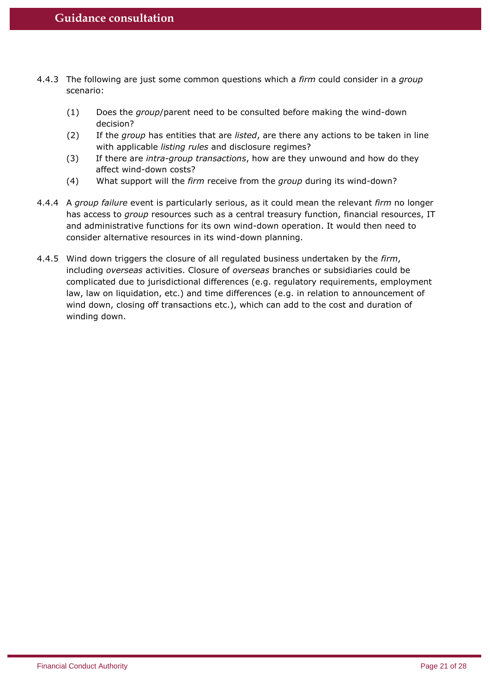- 4.4.3 The following are just some common questions which a *firm* could consider in a *group* scenario:
	- (1) Does the *group*/parent need to be consulted before making the wind-down decision?
	- (2) If the *group* has entities that are *listed*, are there any actions to be taken in line with applicable *listing rules* and disclosure regimes?
	- (3) If there are *intra-group transactions*, how are they unwound and how do they affect wind-down costs?
	- (4) What support will the *firm* receive from the *group* during its wind-down?
- 4.4.4 A *group failure* event is particularly serious, as it could mean the relevant *firm* no longer has access to *group* resources such as a central treasury function, financial resources, IT and administrative functions for its own wind-down operation. It would then need to consider alternative resources in its wind-down planning.
- 4.4.5 Wind down triggers the closure of all regulated business undertaken by the *firm*, including *overseas* activities. Closure of *overseas* branches or subsidiaries could be complicated due to jurisdictional differences (e.g. regulatory requirements, employment law, law on liquidation, etc.) and time differences (e.g. in relation to announcement of wind down, closing off transactions etc.), which can add to the cost and duration of winding down.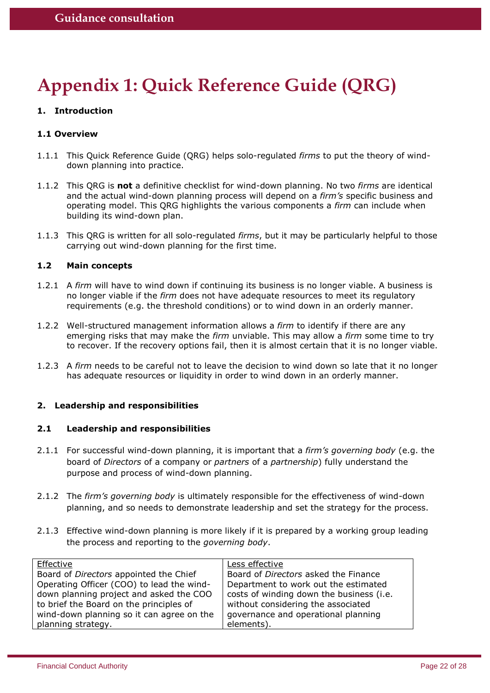# **Appendix 1: Quick Reference Guide (QRG)**

## **1. Introduction**

## **1.1 Overview**

- 1.1.1 This Quick Reference Guide (QRG) helps solo-regulated *firms* to put the theory of winddown planning into practice.
- 1.1.2 This QRG is **not** a definitive checklist for wind-down planning. No two *firms* are identical and the actual wind-down planning process will depend on a *firm's* specific business and operating model. This QRG highlights the various components a *firm* can include when building its wind-down plan.
- 1.1.3 This QRG is written for all solo-regulated *firms*, but it may be particularly helpful to those carrying out wind-down planning for the first time.

#### **1.2 Main concepts**

- 1.2.1 A *firm* will have to wind down if continuing its business is no longer viable. A business is no longer viable if the *firm* does not have adequate resources to meet its regulatory requirements (e.g. the threshold conditions) or to wind down in an orderly manner.
- 1.2.2 Well-structured management information allows a *firm* to identify if there are any emerging risks that may make the *firm* unviable. This may allow a *firm* some time to try to recover. If the recovery options fail, then it is almost certain that it is no longer viable.
- 1.2.3 A *firm* needs to be careful not to leave the decision to wind down so late that it no longer has adequate resources or liquidity in order to wind down in an orderly manner.

## **2. Leadership and responsibilities**

#### **2.1 Leadership and responsibilities**

- 2.1.1 For successful wind-down planning, it is important that a *firm's governing body* (e.g. the board of *Directors* of a company or *partners* of a *partnership*) fully understand the purpose and process of wind-down planning.
- 2.1.2 The *firm's governing body* is ultimately responsible for the effectiveness of wind-down planning, and so needs to demonstrate leadership and set the strategy for the process.
- 2.1.3 Effective wind-down planning is more likely if it is prepared by a working group leading the process and reporting to the *governing body*.

| Effective                                 | Less effective                           |
|-------------------------------------------|------------------------------------------|
| Board of Directors appointed the Chief    | Board of Directors asked the Finance     |
| Operating Officer (COO) to lead the wind- | Department to work out the estimated     |
| down planning project and asked the COO   | costs of winding down the business (i.e. |
| to brief the Board on the principles of   | without considering the associated       |
| wind-down planning so it can agree on the | governance and operational planning      |
| planning strategy.                        | elements).                               |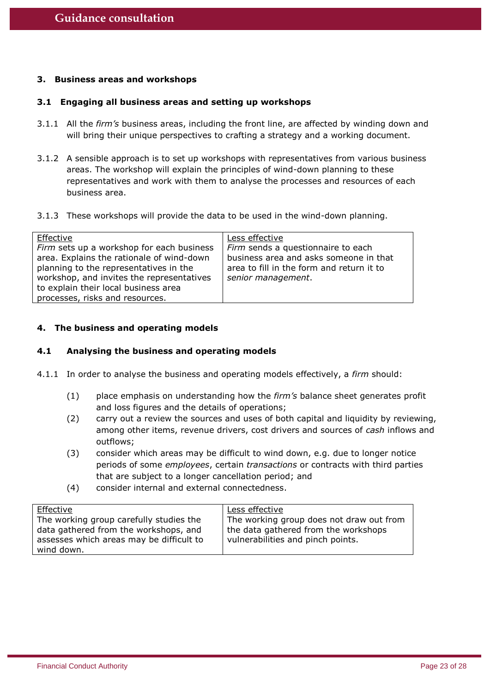## **3. Business areas and workshops**

#### **3.1 Engaging all business areas and setting up workshops**

- 3.1.1 All the *firm's* business areas, including the front line, are affected by winding down and will bring their unique perspectives to crafting a strategy and a working document.
- 3.1.2 A sensible approach is to set up workshops with representatives from various business areas. The workshop will explain the principles of wind-down planning to these representatives and work with them to analyse the processes and resources of each business area.
- 3.1.3 These workshops will provide the data to be used in the wind-down planning.

| Effective                                 | Less effective                            |
|-------------------------------------------|-------------------------------------------|
| Firm sets up a workshop for each business | Firm sends a questionnaire to each        |
| area. Explains the rationale of wind-down | business area and asks someone in that    |
| planning to the representatives in the    | area to fill in the form and return it to |
| workshop, and invites the representatives | senior management.                        |
| to explain their local business area      |                                           |
| processes, risks and resources.           |                                           |

## **4. The business and operating models**

#### **4.1 Analysing the business and operating models**

- 4.1.1 In order to analyse the business and operating models effectively, a *firm* should:
	- (1) place emphasis on understanding how the *firm's* balance sheet generates profit and loss figures and the details of operations;
	- (2) carry out a review the sources and uses of both capital and liquidity by reviewing, among other items, revenue drivers, cost drivers and sources of *cash* inflows and outflows;
	- (3) consider which areas may be difficult to wind down, e.g. due to longer notice periods of some *employees*, certain *transactions* or contracts with third parties that are subject to a longer cancellation period; and
	- (4) consider internal and external connectedness.

| Effective                                | Less effective                           |
|------------------------------------------|------------------------------------------|
| The working group carefully studies the  | The working group does not draw out from |
| data gathered from the workshops, and    | the data gathered from the workshops     |
| assesses which areas may be difficult to | vulnerabilities and pinch points.        |
| wind down.                               |                                          |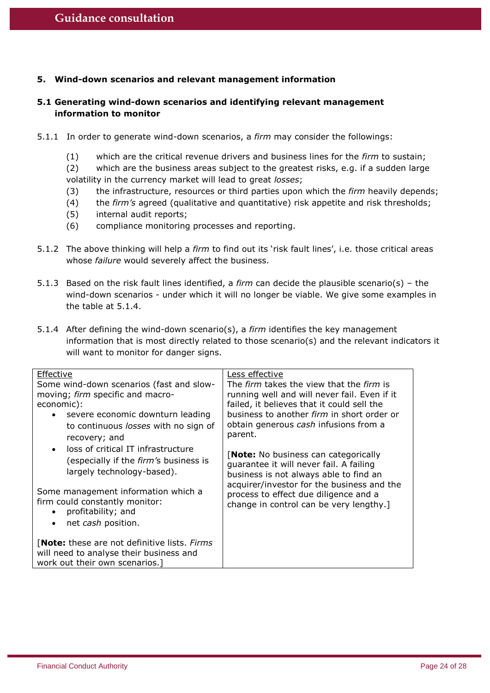## **5. Wind-down scenarios and relevant management information**

## **5.1 Generating wind-down scenarios and identifying relevant management information to monitor**

- 5.1.1 In order to generate wind-down scenarios, a *firm* may consider the followings:
	- (1) which are the critical revenue drivers and business lines for the *firm* to sustain;

(2) which are the business areas subject to the greatest risks, e.g. if a sudden large volatility in the currency market will lead to great *losses*;

- (3) the infrastructure, resources or third parties upon which the *firm* heavily depends;
- (4) the *firm's* agreed (qualitative and quantitative) risk appetite and risk thresholds;
- (5) internal audit reports;
- (6) compliance monitoring processes and reporting.
- 5.1.2 The above thinking will help a *firm* to find out its 'risk fault lines', i.e. those critical areas whose *failure* would severely affect the business.
- 5.1.3 Based on the risk fault lines identified, a *firm* can decide the plausible scenario(s) the wind-down scenarios - under which it will no longer be viable. We give some examples in the table at 5.1.4.
- 5.1.4 After defining the wind-down scenario(s), a *firm* identifies the key management information that is most directly related to those scenario(s) and the relevant indicators it will want to monitor for danger signs.

| Effective                                       | Less effective                                                                       |
|-------------------------------------------------|--------------------------------------------------------------------------------------|
| Some wind-down scenarios (fast and slow-        | The <i>firm</i> takes the view that the <i>firm</i> is                               |
| moving; firm specific and macro-                | running well and will never fail. Even if it                                         |
| economic):                                      | failed, it believes that it could sell the                                           |
| severe economic downturn leading<br>$\bullet$   | business to another <i>firm</i> in short order or                                    |
| to continuous losses with no sign of            | obtain generous cash infusions from a                                                |
| recovery; and                                   | parent.                                                                              |
| loss of critical IT infrastructure<br>$\bullet$ |                                                                                      |
| (especially if the <i>firm's</i> business is    | <b>Note:</b> No business can categorically                                           |
| largely technology-based).                      | guarantee it will never fail. A failing                                              |
|                                                 | business is not always able to find an<br>acquirer/investor for the business and the |
| Some management information which a             | process to effect due diligence and a                                                |
| firm could constantly monitor:                  | change in control can be very lengthy.]                                              |
| profitability; and<br>$\bullet$                 |                                                                                      |
| net cash position.<br>$\bullet$                 |                                                                                      |
|                                                 |                                                                                      |
| [Note: these are not definitive lists. Firms    |                                                                                      |
| will need to analyse their business and         |                                                                                      |
| work out their own scenarios.]                  |                                                                                      |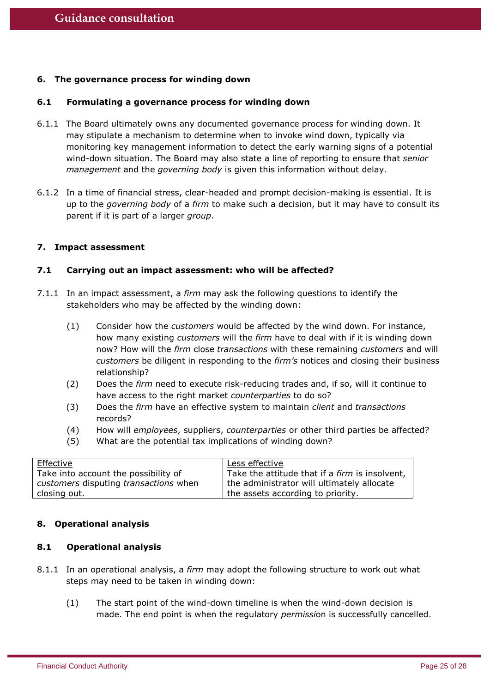## **6. The governance process for winding down**

#### **6.1 Formulating a governance process for winding down**

- 6.1.1 The Board ultimately owns any documented governance process for winding down. It may stipulate a mechanism to determine when to invoke wind down, typically via monitoring key management information to detect the early warning signs of a potential wind-down situation. The Board may also state a line of reporting to ensure that *senior management* and the *governing body* is given this information without delay.
- 6.1.2 In a time of financial stress, clear-headed and prompt decision-making is essential. It is up to the *governing body* of a *firm* to make such a decision, but it may have to consult its parent if it is part of a larger *group*.

#### **7. Impact assessment**

#### **7.1 Carrying out an impact assessment: who will be affected?**

- 7.1.1 In an impact assessment, a *firm* may ask the following questions to identify the stakeholders who may be affected by the winding down:
	- (1) Consider how the *customers* would be affected by the wind down. For instance, how many existing *customers* will the *firm* have to deal with if it is winding down now? How will the *firm* close *transactions* with these remaining *customers* and will *customers* be diligent in responding to the *firm's* notices and closing their business relationship?
	- (2) Does the *firm* need to execute risk-reducing trades and, if so, will it continue to have access to the right market *counterparties* to do so?
	- (3) Does the *firm* have an effective system to maintain *client* and *transactions* records?
	- (4) How will *employees*, suppliers, *counterparties* or other third parties be affected?
	- (5) What are the potential tax implications of winding down?

| Effective                             | Less effective                                 |
|---------------------------------------|------------------------------------------------|
| Take into account the possibility of  | Take the attitude that if a firm is insolvent, |
| customers disputing transactions when | the administrator will ultimately allocate     |
| closing out.                          | the assets according to priority.              |

## **8. Operational analysis**

## **8.1 Operational analysis**

- 8.1.1 In an operational analysis, a *firm* may adopt the following structure to work out what steps may need to be taken in winding down:
	- (1) The start point of the wind-down timeline is when the wind-down decision is made. The end point is when the regulatory *permissi*on is successfully cancelled.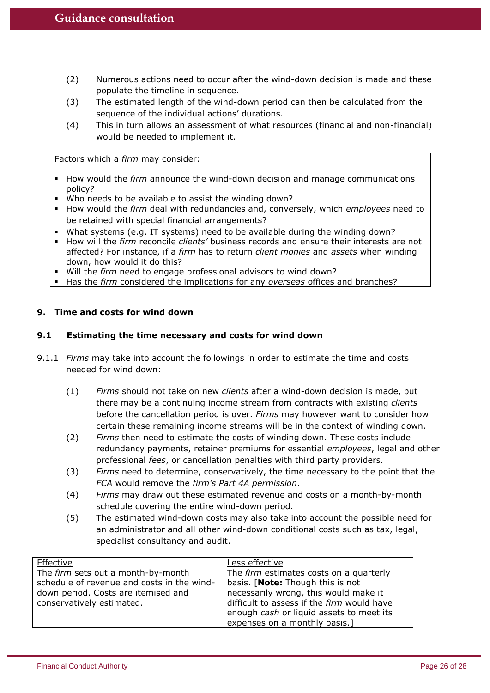- (2) Numerous actions need to occur after the wind-down decision is made and these populate the timeline in sequence.
- (3) The estimated length of the wind-down period can then be calculated from the sequence of the individual actions' durations.
- (4) This in turn allows an assessment of what resources (financial and non-financial) would be needed to implement it.

Factors which a *firm* may consider:

- **How would the firm announce the wind-down decision and manage communications** policy?
- Who needs to be available to assist the winding down?
- **H** How would the *firm* deal with redundancies and, conversely, which *employees* need to be retained with special financial arrangements?
- What systems (e.g. IT systems) need to be available during the winding down?
- **How will the firm reconcile clients' business records and ensure their interests are not** affected? For instance, if a *firm* has to return *client monies* and *assets* when winding down, how would it do this?
- Will the *firm* need to engage professional advisors to wind down?
- Has the *firm* considered the implications for any *overseas* offices and branches?

## **9. Time and costs for wind down**

## **9.1 Estimating the time necessary and costs for wind down**

- 9.1.1 *Firms* may take into account the followings in order to estimate the time and costs needed for wind down:
	- (1) *Firms* should not take on new *clients* after a wind-down decision is made, but there may be a continuing income stream from contracts with existing *clients* before the cancellation period is over. *Firms* may however want to consider how certain these remaining income streams will be in the context of winding down.
	- (2) *Firms* then need to estimate the costs of winding down. These costs include redundancy payments, retainer premiums for essential *employees*, legal and other professional *fees*, or cancellation penalties with third party providers.
	- (3) *Firms* need to determine, conservatively, the time necessary to the point that the *FCA* would remove the *firm's Part 4A permission*.
	- (4) *Firms* may draw out these estimated revenue and costs on a month-by-month schedule covering the entire wind-down period.
	- (5) The estimated wind-down costs may also take into account the possible need for an administrator and all other wind-down conditional costs such as tax, legal, specialist consultancy and audit.

| Effective                                  | Less effective                             |
|--------------------------------------------|--------------------------------------------|
| The firm sets out a month-by-month         | The firm estimates costs on a quarterly    |
| schedule of revenue and costs in the wind- | basis. [Note: Though this is not           |
| down period. Costs are itemised and        | necessarily wrong, this would make it      |
| conservatively estimated.                  | difficult to assess if the firm would have |
|                                            | enough cash or liquid assets to meet its   |
|                                            | expenses on a monthly basis.]              |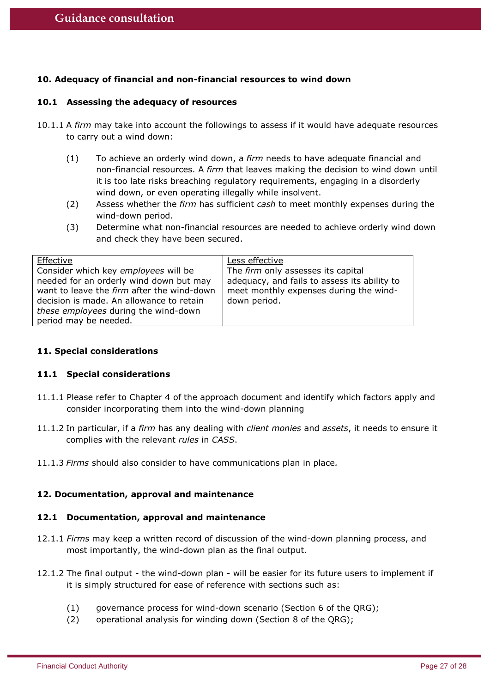## **10. Adequacy of financial and non-financial resources to wind down**

#### **10.1 Assessing the adequacy of resources**

- 10.1.1 A *firm* may take into account the followings to assess if it would have adequate resources to carry out a wind down:
	- (1) To achieve an orderly wind down, a *firm* needs to have adequate financial and non-financial resources. A *firm* that leaves making the decision to wind down until it is too late risks breaching regulatory requirements, engaging in a disorderly wind down, or even operating illegally while insolvent.
	- (2) Assess whether the *firm* has sufficient *cash* to meet monthly expenses during the wind-down period.
	- (3) Determine what non-financial resources are needed to achieve orderly wind down and check they have been secured.

| Effective                                  | Less effective                               |
|--------------------------------------------|----------------------------------------------|
| Consider which key employees will be       | The firm only assesses its capital           |
| needed for an orderly wind down but may    | adequacy, and fails to assess its ability to |
| want to leave the firm after the wind-down | meet monthly expenses during the wind-       |
| decision is made. An allowance to retain   | down period.                                 |
| these employees during the wind-down       |                                              |
| period may be needed.                      |                                              |

## **11. Special considerations**

#### **11.1 Special considerations**

- 11.1.1 Please refer to Chapter 4 of the approach document and identify which factors apply and consider incorporating them into the wind-down planning
- 11.1.2 In particular, if a *firm* has any dealing with *client monies* and *assets*, it needs to ensure it complies with the relevant *rules* in *CASS*.
- 11.1.3 *Firms* should also consider to have communications plan in place*.*

## **12. Documentation, approval and maintenance**

#### **12.1 Documentation, approval and maintenance**

- 12.1.1 *Firms* may keep a written record of discussion of the wind-down planning process, and most importantly, the wind-down plan as the final output.
- 12.1.2 The final output the wind-down plan will be easier for its future users to implement if it is simply structured for ease of reference with sections such as:
	- (1) governance process for wind-down scenario (Section 6 of the QRG);
	- (2) operational analysis for winding down (Section 8 of the QRG);